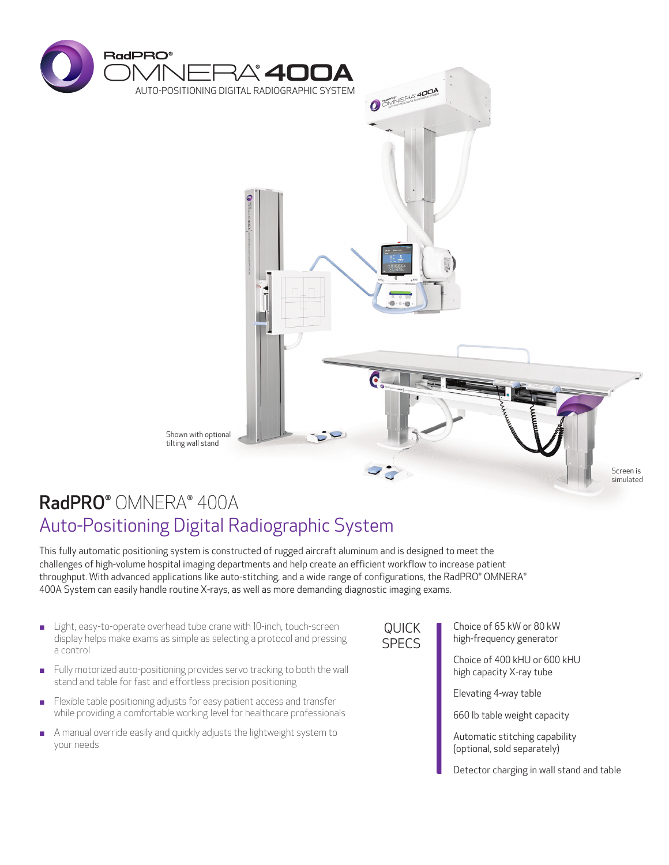

# RadPRO® OMNERA® 400A Auto-Positioning Digital Radiographic System

This fully automatic positioning system is constructed of rugged aircraft aluminum and is designed to meet the challenges of high-volume hospital imaging departments and help create an efficient workflow to increase patient throughput. With advanced applications like auto-stitching, and a wide range of configurations, the RadPRO® OMNERA® 400A System can easily handle routine X-rays, as well as more demanding diagnostic imaging exams.

- **EXECUTE:** Light, easy-to-operate overhead tube crane with 10-inch, touch-screen display helps make exams as simple as selecting a protocol and pressing a control
- **EXECUTE:** Fully motorized auto-positioning provides servo tracking to both the wall stand and table for fast and effortless precision positioning
- **EXALLET FIEXI**ble table positioning adjusts for easy patient access and transfer while providing a comfortable working level for healthcare professionals
- **EXECUTE:** A manual override easily and quickly adjusts the lightweight system to your needs

QUICK SPECS

Choice of 65 kW or 80 kW high-frequency generator

Choice of 400 kHU or 600 kHU high capacity X-ray tube

Elevating 4-way table

660 lb table weight capacity

Automatic stitching capability (optional, sold separately)

Detector charging in wall stand and table